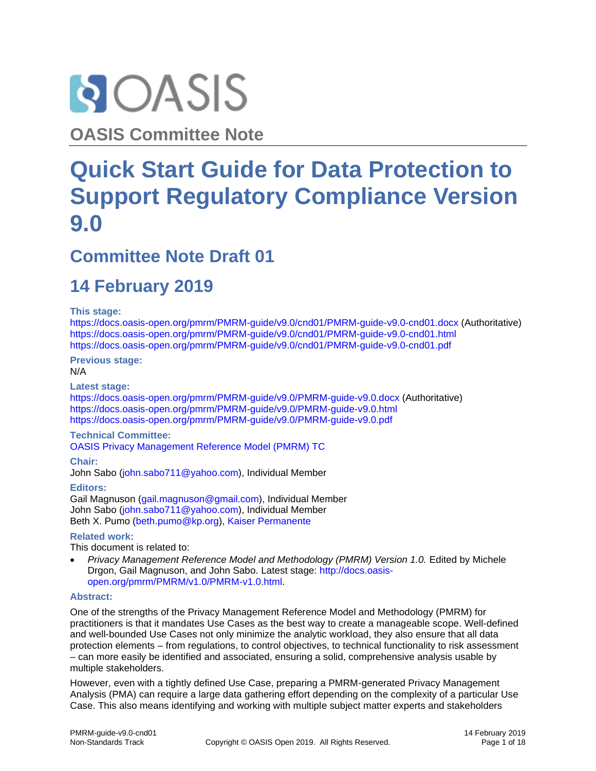

**OASIS Committee Note**

# **Quick Start Guide for Data Protection to Support Regulatory Compliance Version 9.0**

### **Committee Note Draft 01**

# **14 February 2019**

#### **This stage:**

<https://docs.oasis-open.org/pmrm/PMRM-guide/v9.0/cnd01/PMRM-guide-v9.0-cnd01.docx> (Authoritative) <https://docs.oasis-open.org/pmrm/PMRM-guide/v9.0/cnd01/PMRM-guide-v9.0-cnd01.html> <https://docs.oasis-open.org/pmrm/PMRM-guide/v9.0/cnd01/PMRM-guide-v9.0-cnd01.pdf>

**Previous stage:** N/A

#### **Latest stage:**

<https://docs.oasis-open.org/pmrm/PMRM-guide/v9.0/PMRM-guide-v9.0.docx> (Authoritative) <https://docs.oasis-open.org/pmrm/PMRM-guide/v9.0/PMRM-guide-v9.0.html> <https://docs.oasis-open.org/pmrm/PMRM-guide/v9.0/PMRM-guide-v9.0.pdf>

#### **Technical Committee:**

[OASIS Privacy Management Reference Model \(PMRM\) TC](https://www.oasis-open.org/committees/pmrm/)

**Chair:**

John Sabo [\(john.sabo711@yahoo.com\)](mailto:john.sabo711@yahoo.com), Individual Member

**Editors:** Gail Magnuson [\(gail.magnuson@gmail.com\)](mailto:gail.magnuson@gmail.com), Individual Member John Sabo [\(john.sabo711@yahoo.com\)](mailto:john.sabo711@yahoo.com), Individual Member Beth X. Pumo [\(beth.pumo@kp.org\)](mailto:beth.pumo@kp.org), [Kaiser Permanente](http://www.kp.org/)

#### **Related work:**

This document is related to:

Privacy Management Reference Model and Methodology (PMRM) Version 1.0. Edited by Michele Drgon, Gail Magnuson, and John Sabo. Latest stage: [http://docs.oasis](http://docs.oasis-open.org/pmrm/PMRM/v1.0/PMRM-v1.0.html)[open.org/pmrm/PMRM/v1.0/PMRM-v1.0.html.](http://docs.oasis-open.org/pmrm/PMRM/v1.0/PMRM-v1.0.html)

#### **Abstract:**

One of the strengths of the Privacy Management Reference Model and Methodology (PMRM) for practitioners is that it mandates Use Cases as the best way to create a manageable scope. Well-defined and well-bounded Use Cases not only minimize the analytic workload, they also ensure that all data protection elements – from regulations, to control objectives, to technical functionality to risk assessment – can more easily be identified and associated, ensuring a solid, comprehensive analysis usable by multiple stakeholders.

However, even with a tightly defined Use Case, preparing a PMRM-generated Privacy Management Analysis (PMA) can require a large data gathering effort depending on the complexity of a particular Use Case. This also means identifying and working with multiple subject matter experts and stakeholders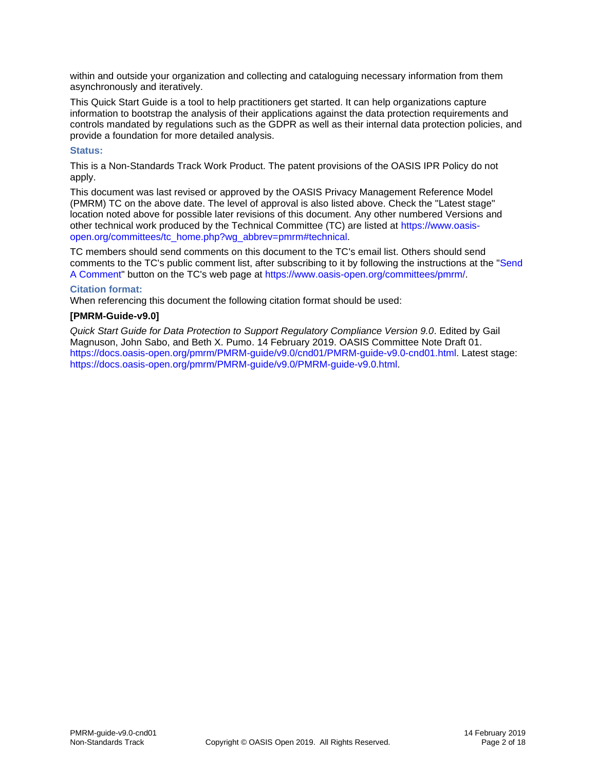within and outside your organization and collecting and cataloguing necessary information from them asynchronously and iteratively.

This Quick Start Guide is a tool to help practitioners get started. It can help organizations capture information to bootstrap the analysis of their applications against the data protection requirements and controls mandated by regulations such as the GDPR as well as their internal data protection policies, and provide a foundation for more detailed analysis.

#### **Status:**

This is a Non-Standards Track Work Product. The patent provisions of the OASIS IPR Policy do not apply.

This document was last revised or approved by the OASIS Privacy Management Reference Model (PMRM) TC on the above date. The level of approval is also listed above. Check the "Latest stage" location noted above for possible later revisions of this document. Any other numbered Versions and other technical work produced by the Technical Committee (TC) are listed at [https://www.oasis](https://www.oasis-open.org/committees/tc_home.php?wg_abbrev=pmrm#technical)[open.org/committees/tc\\_home.php?wg\\_abbrev=pmrm#technical.](https://www.oasis-open.org/committees/tc_home.php?wg_abbrev=pmrm#technical)

TC members should send comments on this document to the TC's email list. Others should send comments to the TC's public comment list, after subscribing to it by following the instructions at the ["Send](https://www.oasis-open.org/committees/comments/index.php?wg_abbrev=pmrm)  [A Comment"](https://www.oasis-open.org/committees/comments/index.php?wg_abbrev=pmrm) button on the TC's web page at [https://www.oasis-open.org/committees/pmrm/.](https://www.oasis-open.org/committees/pmrm/)

#### **Citation format:**

When referencing this document the following citation format should be used:

#### **[PMRM-Guide-v9.0]**

*Quick Start Guide for Data Protection to Support Regulatory Compliance Version 9.0*. Edited by Gail Magnuson, John Sabo, and Beth X. Pumo. 14 February 2019. OASIS Committee Note Draft 01. [https://docs.oasis-open.org/pmrm/PMRM-guide/v9.0/cnd01/PMRM-guide-v9.0-cnd01.html.](https://docs.oasis-open.org/pmrm/PMRM-guide/v9.0/cnd01/PMRM-guide-v9.0-cnd01.html) Latest stage: [https://docs.oasis-open.org/pmrm/PMRM-guide/v9.0/PMRM-guide-v9.0.html.](https://docs.oasis-open.org/pmrm/PMRM-guide/v9.0/PMRM-guide-v9.0.html)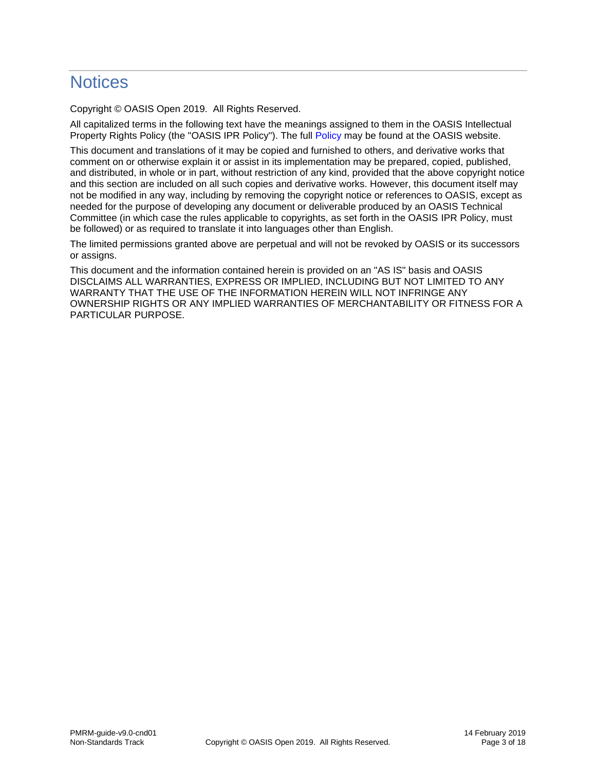## **Notices**

Copyright © OASIS Open 2019. All Rights Reserved.

All capitalized terms in the following text have the meanings assigned to them in the OASIS Intellectual Property Rights Policy (the "OASIS IPR Policy"). The full [Policy](https://www.oasis-open.org/policies-guidelines/ipr) may be found at the OASIS website.

This document and translations of it may be copied and furnished to others, and derivative works that comment on or otherwise explain it or assist in its implementation may be prepared, copied, published, and distributed, in whole or in part, without restriction of any kind, provided that the above copyright notice and this section are included on all such copies and derivative works. However, this document itself may not be modified in any way, including by removing the copyright notice or references to OASIS, except as needed for the purpose of developing any document or deliverable produced by an OASIS Technical Committee (in which case the rules applicable to copyrights, as set forth in the OASIS IPR Policy, must be followed) or as required to translate it into languages other than English.

The limited permissions granted above are perpetual and will not be revoked by OASIS or its successors or assigns.

This document and the information contained herein is provided on an "AS IS" basis and OASIS DISCLAIMS ALL WARRANTIES, EXPRESS OR IMPLIED, INCLUDING BUT NOT LIMITED TO ANY WARRANTY THAT THE USE OF THE INFORMATION HEREIN WILL NOT INFRINGE ANY OWNERSHIP RIGHTS OR ANY IMPLIED WARRANTIES OF MERCHANTABILITY OR FITNESS FOR A PARTICULAR PURPOSE.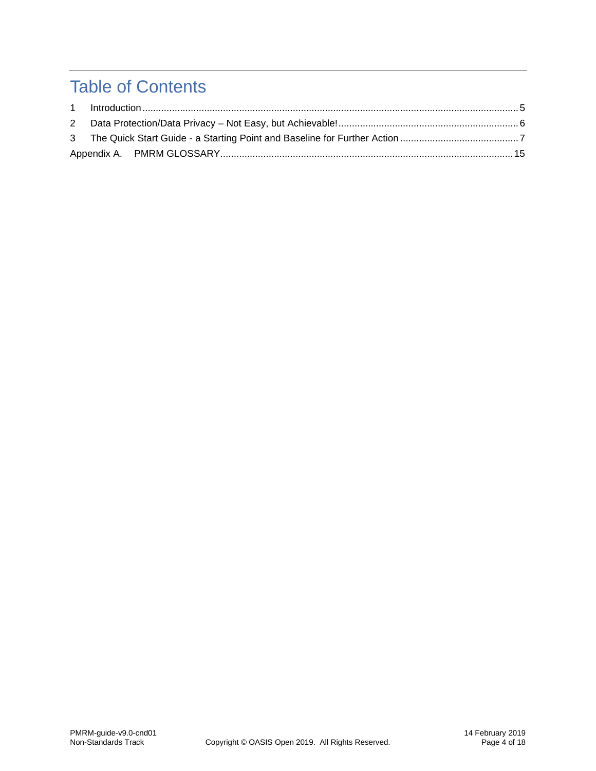# Table of Contents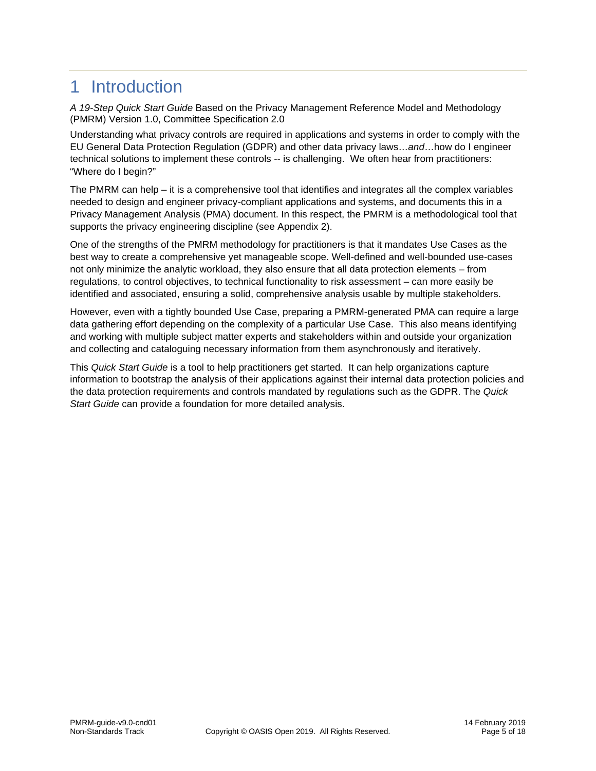### <span id="page-4-0"></span>1 Introduction

*A 19-Step Quick Start Guide* Based on the Privacy Management Reference Model and Methodology (PMRM) Version 1.0, Committee Specification 2.0

Understanding what privacy controls are required in applications and systems in order to comply with the EU General Data Protection Regulation (GDPR) and other data privacy laws…*and*…how do I engineer technical solutions to implement these controls -- is challenging. We often hear from practitioners: "Where do I begin?"

The PMRM can help – it is a comprehensive tool that identifies and integrates all the complex variables needed to design and engineer privacy-compliant applications and systems, and documents this in a Privacy Management Analysis (PMA) document. In this respect, the PMRM is a methodological tool that supports the privacy engineering discipline (see Appendix 2).

One of the strengths of the PMRM methodology for practitioners is that it mandates Use Cases as the best way to create a comprehensive yet manageable scope. Well-defined and well-bounded use-cases not only minimize the analytic workload, they also ensure that all data protection elements – from regulations, to control objectives, to technical functionality to risk assessment – can more easily be identified and associated, ensuring a solid, comprehensive analysis usable by multiple stakeholders.

However, even with a tightly bounded Use Case, preparing a PMRM-generated PMA can require a large data gathering effort depending on the complexity of a particular Use Case. This also means identifying and working with multiple subject matter experts and stakeholders within and outside your organization and collecting and cataloguing necessary information from them asynchronously and iteratively.

This *Quick Start Guide* is a tool to help practitioners get started. It can help organizations capture information to bootstrap the analysis of their applications against their internal data protection policies and the data protection requirements and controls mandated by regulations such as the GDPR. The *Quick Start Guide* can provide a foundation for more detailed analysis.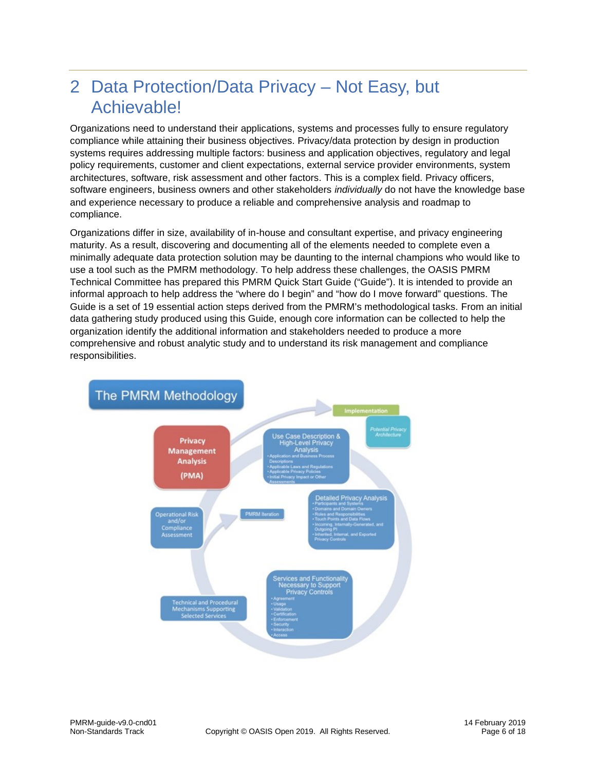# <span id="page-5-0"></span>2 Data Protection/Data Privacy – Not Easy, but Achievable!

Organizations need to understand their applications, systems and processes fully to ensure regulatory compliance while attaining their business objectives. Privacy/data protection by design in production systems requires addressing multiple factors: business and application objectives, regulatory and legal policy requirements, customer and client expectations, external service provider environments, system architectures, software, risk assessment and other factors. This is a complex field. Privacy officers, software engineers, business owners and other stakeholders *individually* do not have the knowledge base and experience necessary to produce a reliable and comprehensive analysis and roadmap to compliance.

Organizations differ in size, availability of in-house and consultant expertise, and privacy engineering maturity. As a result, discovering and documenting all of the elements needed to complete even a minimally adequate data protection solution may be daunting to the internal champions who would like to use a tool such as the PMRM methodology. To help address these challenges, the OASIS PMRM Technical Committee has prepared this PMRM Quick Start Guide ("Guide"). It is intended to provide an informal approach to help address the "where do I begin" and "how do I move forward" questions. The Guide is a set of 19 essential action steps derived from the PMRM's methodological tasks. From an initial data gathering study produced using this Guide, enough core information can be collected to help the organization identify the additional information and stakeholders needed to produce a more comprehensive and robust analytic study and to understand its risk management and compliance responsibilities.

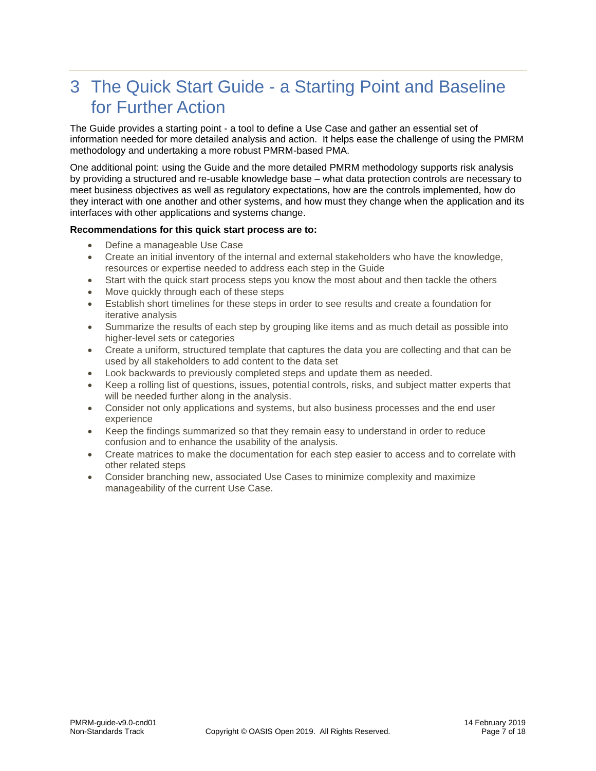# <span id="page-6-0"></span>3 The Quick Start Guide - a Starting Point and Baseline for Further Action

The Guide provides a starting point - a tool to define a Use Case and gather an essential set of information needed for more detailed analysis and action. It helps ease the challenge of using the PMRM methodology and undertaking a more robust PMRM-based PMA.

One additional point: using the Guide and the more detailed PMRM methodology supports risk analysis by providing a structured and re-usable knowledge base – what data protection controls are necessary to meet business objectives as well as regulatory expectations, how are the controls implemented, how do they interact with one another and other systems, and how must they change when the application and its interfaces with other applications and systems change.

#### **Recommendations for this quick start process are to:**

- Define a manageable Use Case
- Create an initial inventory of the internal and external stakeholders who have the knowledge, resources or expertise needed to address each step in the Guide
- Start with the quick start process steps you know the most about and then tackle the others
- Move quickly through each of these steps
- Establish short timelines for these steps in order to see results and create a foundation for iterative analysis
- Summarize the results of each step by grouping like items and as much detail as possible into higher-level sets or categories
- Create a uniform, structured template that captures the data you are collecting and that can be used by all stakeholders to add content to the data set
- Look backwards to previously completed steps and update them as needed.
- Keep a rolling list of questions, issues, potential controls, risks, and subject matter experts that will be needed further along in the analysis.
- Consider not only applications and systems, but also business processes and the end user experience
- Keep the findings summarized so that they remain easy to understand in order to reduce confusion and to enhance the usability of the analysis.
- Create matrices to make the documentation for each step easier to access and to correlate with other related steps
- Consider branching new, associated Use Cases to minimize complexity and maximize manageability of the current Use Case.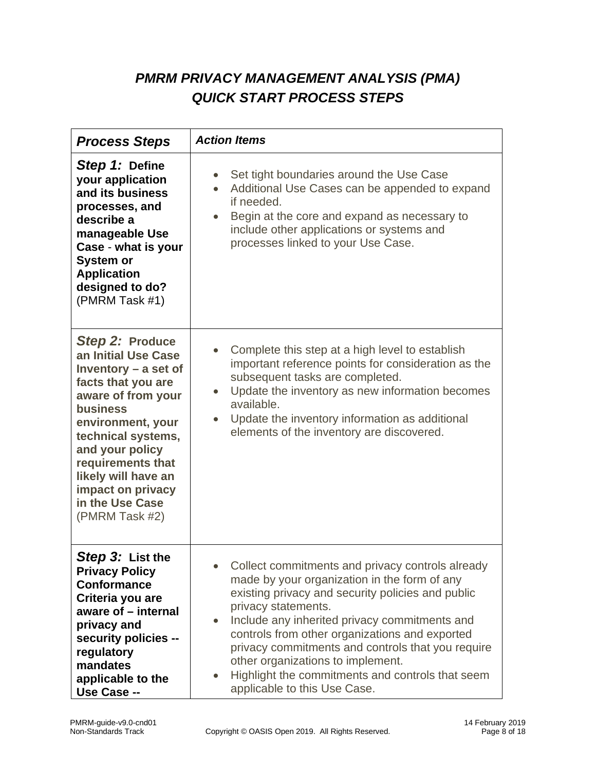### *PMRM PRIVACY MANAGEMENT ANALYSIS (PMA) QUICK START PROCESS STEPS*

| <b>Process Steps</b>                                                                                                                                                                                                                                                                                | <b>Action Items</b>                                                                                                                                                                                                                                                                                                                                                                                                                                                        |
|-----------------------------------------------------------------------------------------------------------------------------------------------------------------------------------------------------------------------------------------------------------------------------------------------------|----------------------------------------------------------------------------------------------------------------------------------------------------------------------------------------------------------------------------------------------------------------------------------------------------------------------------------------------------------------------------------------------------------------------------------------------------------------------------|
| Step 1: Define<br>your application<br>and its business<br>processes, and<br>describe a<br>manageable Use<br>Case - what is your<br><b>System or</b><br><b>Application</b><br>designed to do?<br>(PMRM Task #1)                                                                                      | Set tight boundaries around the Use Case<br>Additional Use Cases can be appended to expand<br>$\bullet$<br>if needed.<br>Begin at the core and expand as necessary to<br>include other applications or systems and<br>processes linked to your Use Case.                                                                                                                                                                                                                   |
| Step 2: Produce<br>an Initial Use Case<br>Inventory $-$ a set of<br>facts that you are<br>aware of from your<br><b>business</b><br>environment, your<br>technical systems,<br>and your policy<br>requirements that<br>likely will have an<br>impact on privacy<br>in the Use Case<br>(PMRM Task #2) | Complete this step at a high level to establish<br>important reference points for consideration as the<br>subsequent tasks are completed.<br>Update the inventory as new information becomes<br>$\bullet$<br>available.<br>Update the inventory information as additional<br>elements of the inventory are discovered.                                                                                                                                                     |
| Step 3: List the<br><b>Privacy Policy</b><br><b>Conformance</b><br>Criteria you are<br>aware of - internal<br>privacy and<br>security policies --<br>regulatory<br>mandates<br>applicable to the<br>Use Case --                                                                                     | Collect commitments and privacy controls already<br>made by your organization in the form of any<br>existing privacy and security policies and public<br>privacy statements.<br>Include any inherited privacy commitments and<br>$\bullet$<br>controls from other organizations and exported<br>privacy commitments and controls that you require<br>other organizations to implement.<br>Highlight the commitments and controls that seem<br>applicable to this Use Case. |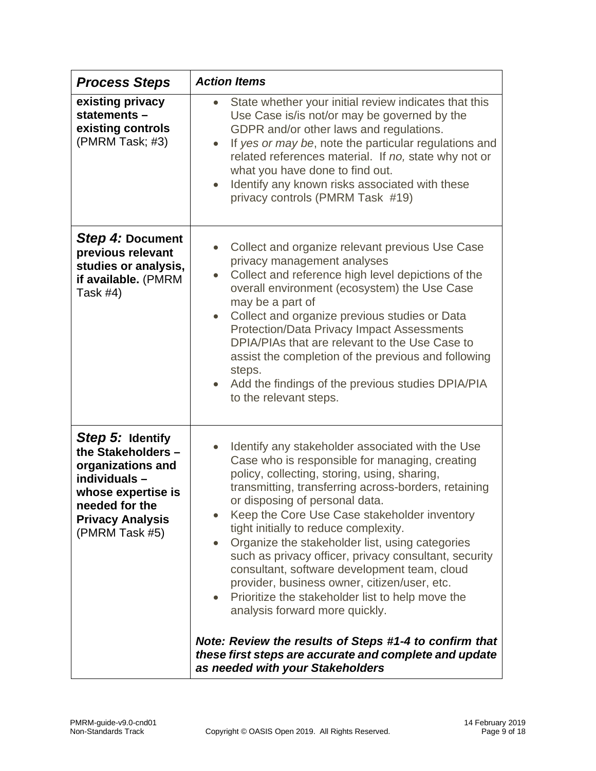| <b>Process Steps</b>                                                                                                                                              | <b>Action Items</b>                                                                                                                                                                                                                                                                                                                                                                                                                                                                                                                                                                                                                                                                                                                                                                                          |
|-------------------------------------------------------------------------------------------------------------------------------------------------------------------|--------------------------------------------------------------------------------------------------------------------------------------------------------------------------------------------------------------------------------------------------------------------------------------------------------------------------------------------------------------------------------------------------------------------------------------------------------------------------------------------------------------------------------------------------------------------------------------------------------------------------------------------------------------------------------------------------------------------------------------------------------------------------------------------------------------|
| existing privacy<br>statements -<br>existing controls<br>(PMRM Task; #3)                                                                                          | State whether your initial review indicates that this<br>$\bullet$<br>Use Case is/is not/or may be governed by the<br>GDPR and/or other laws and regulations.<br>If yes or may be, note the particular regulations and<br>$\bullet$<br>related references material. If no, state why not or<br>what you have done to find out.<br>Identify any known risks associated with these<br>$\bullet$<br>privacy controls (PMRM Task #19)                                                                                                                                                                                                                                                                                                                                                                            |
| Step 4: Document<br>previous relevant<br>studies or analysis,<br>if available. (PMRM<br>Task $#4)$                                                                | Collect and organize relevant previous Use Case<br>privacy management analyses<br>Collect and reference high level depictions of the<br>overall environment (ecosystem) the Use Case<br>may be a part of<br>Collect and organize previous studies or Data<br>$\bullet$<br><b>Protection/Data Privacy Impact Assessments</b><br>DPIA/PIAs that are relevant to the Use Case to<br>assist the completion of the previous and following<br>steps.<br>Add the findings of the previous studies DPIA/PIA<br>$\bullet$<br>to the relevant steps.                                                                                                                                                                                                                                                                   |
| Step 5: Identify<br>the Stakeholders -<br>organizations and<br>individuals -<br>whose expertise is<br>needed for the<br><b>Privacy Analysis</b><br>(PMRM Task #5) | Identify any stakeholder associated with the Use<br>Case who is responsible for managing, creating<br>policy, collecting, storing, using, sharing,<br>transmitting, transferring across-borders, retaining<br>or disposing of personal data.<br>Keep the Core Use Case stakeholder inventory<br>tight initially to reduce complexity.<br>Organize the stakeholder list, using categories<br>$\bullet$<br>such as privacy officer, privacy consultant, security<br>consultant, software development team, cloud<br>provider, business owner, citizen/user, etc.<br>Prioritize the stakeholder list to help move the<br>analysis forward more quickly.<br>Note: Review the results of Steps #1-4 to confirm that<br>these first steps are accurate and complete and update<br>as needed with your Stakeholders |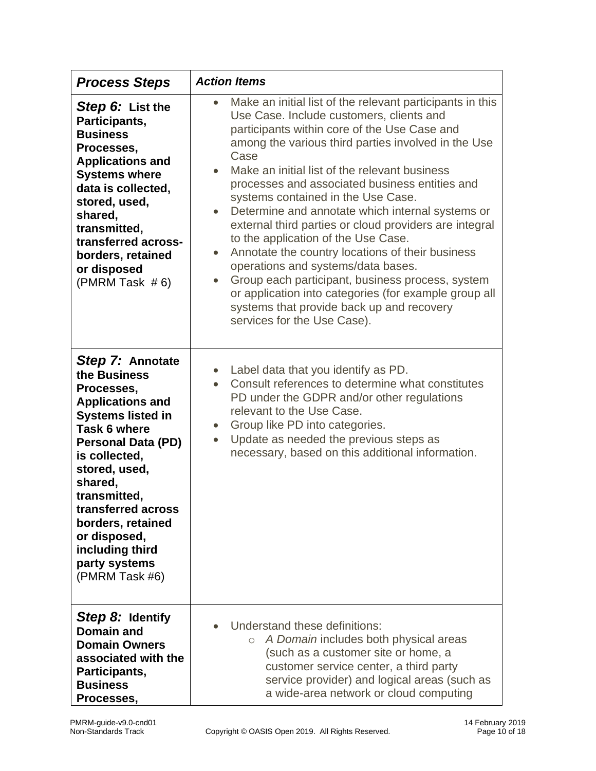| <b>Process Steps</b>                                                                                                                                                                                                                                                                                                                    | <b>Action Items</b>                                                                                                                                                                                                                                                                                                                                                                                                                                                                                                                                                                                                                                                                                                                                                                                                                          |
|-----------------------------------------------------------------------------------------------------------------------------------------------------------------------------------------------------------------------------------------------------------------------------------------------------------------------------------------|----------------------------------------------------------------------------------------------------------------------------------------------------------------------------------------------------------------------------------------------------------------------------------------------------------------------------------------------------------------------------------------------------------------------------------------------------------------------------------------------------------------------------------------------------------------------------------------------------------------------------------------------------------------------------------------------------------------------------------------------------------------------------------------------------------------------------------------------|
| Step 6: List the<br>Participants,<br><b>Business</b><br>Processes,<br><b>Applications and</b><br><b>Systems where</b><br>data is collected,<br>stored, used,<br>shared,<br>transmitted,<br>transferred across-<br>borders, retained<br>or disposed<br>(PMRM Task $#6$ )                                                                 | Make an initial list of the relevant participants in this<br>Use Case. Include customers, clients and<br>participants within core of the Use Case and<br>among the various third parties involved in the Use<br>Case<br>Make an initial list of the relevant business<br>processes and associated business entities and<br>systems contained in the Use Case.<br>Determine and annotate which internal systems or<br>$\bullet$<br>external third parties or cloud providers are integral<br>to the application of the Use Case.<br>Annotate the country locations of their business<br>$\bullet$<br>operations and systems/data bases.<br>Group each participant, business process, system<br>$\bullet$<br>or application into categories (for example group all<br>systems that provide back up and recovery<br>services for the Use Case). |
| Step 7: Annotate<br>the Business<br>Processes,<br><b>Applications and</b><br><b>Systems listed in</b><br><b>Task 6 where</b><br><b>Personal Data (PD)</b><br>is collected,<br>stored, used,<br>shared,<br>transmitted,<br>transferred across<br>borders, retained<br>or disposed,<br>including third<br>party systems<br>(PMRM Task #6) | Label data that you identify as PD.<br>Consult references to determine what constitutes<br>$\bullet$<br>PD under the GDPR and/or other regulations<br>relevant to the Use Case.<br>Group like PD into categories.<br>$\bullet$<br>Update as needed the previous steps as<br>$\bullet$<br>necessary, based on this additional information.                                                                                                                                                                                                                                                                                                                                                                                                                                                                                                    |
| Step 8: Identify<br><b>Domain and</b><br><b>Domain Owners</b><br>associated with the<br>Participants,<br><b>Business</b><br>Processes,                                                                                                                                                                                                  | Understand these definitions:<br>A Domain includes both physical areas<br>$\circ$<br>(such as a customer site or home, a<br>customer service center, a third party<br>service provider) and logical areas (such as<br>a wide-area network or cloud computing                                                                                                                                                                                                                                                                                                                                                                                                                                                                                                                                                                                 |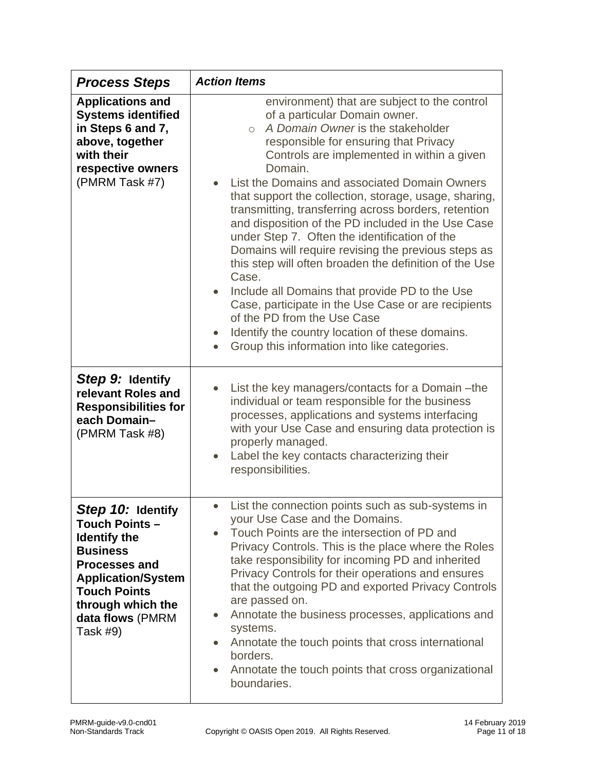| <b>Process Steps</b>                                                                                                                                                                                                  | <b>Action Items</b>                                                                                                                                                                                                                                                                                                                                                                                                                                                                                                                                                                                                                                                                                                                                                                                                                                                              |
|-----------------------------------------------------------------------------------------------------------------------------------------------------------------------------------------------------------------------|----------------------------------------------------------------------------------------------------------------------------------------------------------------------------------------------------------------------------------------------------------------------------------------------------------------------------------------------------------------------------------------------------------------------------------------------------------------------------------------------------------------------------------------------------------------------------------------------------------------------------------------------------------------------------------------------------------------------------------------------------------------------------------------------------------------------------------------------------------------------------------|
| <b>Applications and</b><br><b>Systems identified</b><br>in Steps 6 and 7,<br>above, together<br>with their<br>respective owners<br>(PMRM Task #7)                                                                     | environment) that are subject to the control<br>of a particular Domain owner.<br>A Domain Owner is the stakeholder<br>$\bigcirc$<br>responsible for ensuring that Privacy<br>Controls are implemented in within a given<br>Domain.<br>List the Domains and associated Domain Owners<br>that support the collection, storage, usage, sharing,<br>transmitting, transferring across borders, retention<br>and disposition of the PD included in the Use Case<br>under Step 7. Often the identification of the<br>Domains will require revising the previous steps as<br>this step will often broaden the definition of the Use<br>Case.<br>Include all Domains that provide PD to the Use<br>Case, participate in the Use Case or are recipients<br>of the PD from the Use Case<br>Identify the country location of these domains.<br>Group this information into like categories. |
| Step 9: Identify<br>relevant Roles and<br><b>Responsibilities for</b><br>each Domain-<br>(PMRM Task #8)                                                                                                               | List the key managers/contacts for a Domain - the<br>individual or team responsible for the business<br>processes, applications and systems interfacing<br>with your Use Case and ensuring data protection is<br>properly managed.<br>Label the key contacts characterizing their<br>responsibilities.                                                                                                                                                                                                                                                                                                                                                                                                                                                                                                                                                                           |
| Step 10: Identify<br><b>Touch Points -</b><br><b>Identify the</b><br><b>Business</b><br><b>Processes and</b><br><b>Application/System</b><br><b>Touch Points</b><br>through which the<br>data flows (PMRM<br>Task #9) | • List the connection points such as sub-systems in<br>your Use Case and the Domains.<br>Touch Points are the intersection of PD and<br>Privacy Controls. This is the place where the Roles<br>take responsibility for incoming PD and inherited<br>Privacy Controls for their operations and ensures<br>that the outgoing PD and exported Privacy Controls<br>are passed on.<br>Annotate the business processes, applications and<br>$\bullet$<br>systems.<br>Annotate the touch points that cross international<br>$\bullet$<br>borders.<br>Annotate the touch points that cross organizational<br>$\bullet$<br>boundaries.                                                                                                                                                                                                                                                    |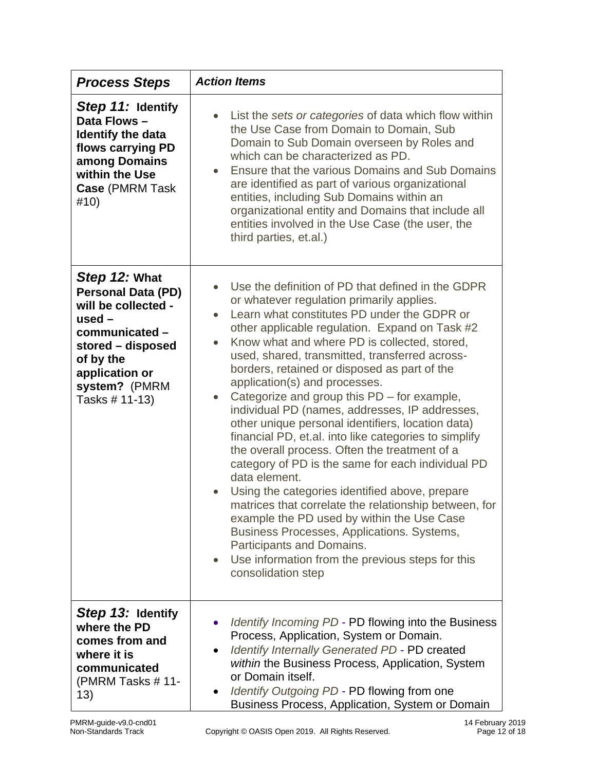| <b>Process Steps</b>                                                                                                                                                                   | <b>Action Items</b>                                                                                                                                                                                                                                                                                                                                                                                                                                                                                                                                                                                                                                                                                                                                                                                                                                                                                                                                                                                                                                                           |
|----------------------------------------------------------------------------------------------------------------------------------------------------------------------------------------|-------------------------------------------------------------------------------------------------------------------------------------------------------------------------------------------------------------------------------------------------------------------------------------------------------------------------------------------------------------------------------------------------------------------------------------------------------------------------------------------------------------------------------------------------------------------------------------------------------------------------------------------------------------------------------------------------------------------------------------------------------------------------------------------------------------------------------------------------------------------------------------------------------------------------------------------------------------------------------------------------------------------------------------------------------------------------------|
| Step 11: Identify<br>Data Flows -<br><b>Identify the data</b><br>flows carrying PD<br>among Domains<br>within the Use<br>Case (PMRM Task<br>#10)                                       | List the sets or categories of data which flow within<br>the Use Case from Domain to Domain, Sub<br>Domain to Sub Domain overseen by Roles and<br>which can be characterized as PD.<br>Ensure that the various Domains and Sub Domains<br>are identified as part of various organizational<br>entities, including Sub Domains within an<br>organizational entity and Domains that include all<br>entities involved in the Use Case (the user, the<br>third parties, et.al.)                                                                                                                                                                                                                                                                                                                                                                                                                                                                                                                                                                                                   |
| Step 12: What<br><b>Personal Data (PD)</b><br>will be collected -<br>$used -$<br>communicated -<br>stored - disposed<br>of by the<br>application or<br>system? (PMRM<br>Tasks # 11-13) | Use the definition of PD that defined in the GDPR<br>or whatever regulation primarily applies.<br>Learn what constitutes PD under the GDPR or<br>other applicable regulation. Expand on Task #2<br>Know what and where PD is collected, stored,<br>$\bullet$<br>used, shared, transmitted, transferred across-<br>borders, retained or disposed as part of the<br>application(s) and processes.<br>Categorize and group this PD – for example,<br>$\bullet$<br>individual PD (names, addresses, IP addresses,<br>other unique personal identifiers, location data)<br>financial PD, et.al. into like categories to simplify<br>the overall process. Often the treatment of a<br>category of PD is the same for each individual PD<br>data element.<br>Using the categories identified above, prepare<br>matrices that correlate the relationship between, for<br>example the PD used by within the Use Case<br>Business Processes, Applications. Systems,<br>Participants and Domains.<br>Use information from the previous steps for this<br>$\bullet$<br>consolidation step |
| Step 13: Identify<br>where the PD<br>comes from and<br>where it is<br>communicated<br>(PMRM Tasks $# 11$ -<br>13)                                                                      | Identify Incoming PD - PD flowing into the Business<br>Process, Application, System or Domain.<br>Identify Internally Generated PD - PD created<br>within the Business Process, Application, System<br>or Domain itself.<br>Identify Outgoing PD - PD flowing from one<br>$\bullet$<br>Business Process, Application, System or Domain                                                                                                                                                                                                                                                                                                                                                                                                                                                                                                                                                                                                                                                                                                                                        |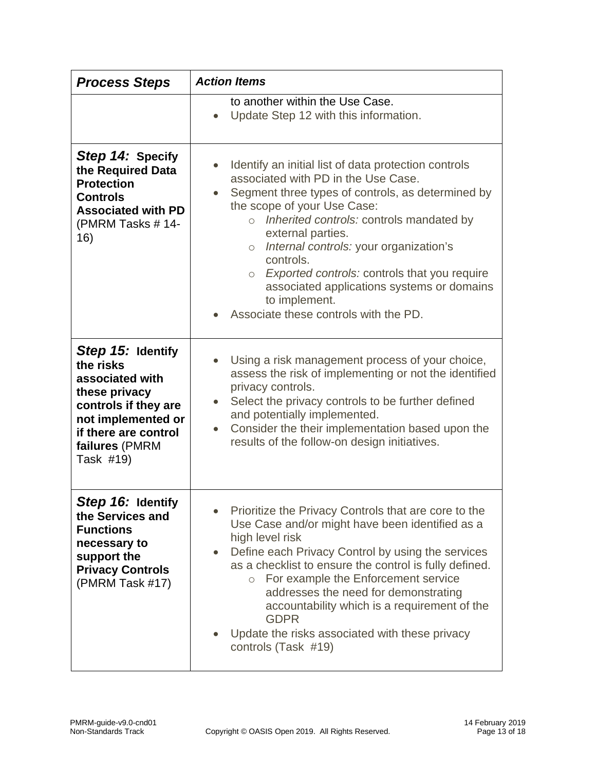| <b>Process Steps</b>                                                                                                                                                    | <b>Action Items</b>                                                                                                                                                                                                                                                                                                                                                                                                                                                                                               |
|-------------------------------------------------------------------------------------------------------------------------------------------------------------------------|-------------------------------------------------------------------------------------------------------------------------------------------------------------------------------------------------------------------------------------------------------------------------------------------------------------------------------------------------------------------------------------------------------------------------------------------------------------------------------------------------------------------|
|                                                                                                                                                                         | to another within the Use Case.<br>Update Step 12 with this information.                                                                                                                                                                                                                                                                                                                                                                                                                                          |
| Step 14: Specify<br>the Required Data<br><b>Protection</b><br><b>Controls</b><br><b>Associated with PD</b><br>(PMRM Tasks #14-<br>16)                                   | Identify an initial list of data protection controls<br>$\bullet$<br>associated with PD in the Use Case.<br>Segment three types of controls, as determined by<br>$\bullet$<br>the scope of your Use Case:<br>o Inherited controls: controls mandated by<br>external parties.<br>Internal controls: your organization's<br>$\circ$<br>controls.<br>Exported controls: controls that you require<br>$\circ$<br>associated applications systems or domains<br>to implement.<br>Associate these controls with the PD. |
| Step 15: Identify<br>the risks<br>associated with<br>these privacy<br>controls if they are<br>not implemented or<br>if there are control<br>failures (PMRM<br>Task #19) | Using a risk management process of your choice,<br>$\bullet$<br>assess the risk of implementing or not the identified<br>privacy controls.<br>Select the privacy controls to be further defined<br>$\bullet$<br>and potentially implemented.<br>Consider the their implementation based upon the<br>$\bullet$<br>results of the follow-on design initiatives.                                                                                                                                                     |
| Step 16: Identify<br>the Services and<br><b>Functions</b><br>necessary to<br>support the<br><b>Privacy Controls</b><br>(PMRM Task #17)                                  | Prioritize the Privacy Controls that are core to the<br>Use Case and/or might have been identified as a<br>high level risk<br>Define each Privacy Control by using the services<br>$\bullet$<br>as a checklist to ensure the control is fully defined.<br>For example the Enforcement service<br>$\circ$<br>addresses the need for demonstrating<br>accountability which is a requirement of the<br><b>GDPR</b><br>Update the risks associated with these privacy<br>controls (Task #19)                          |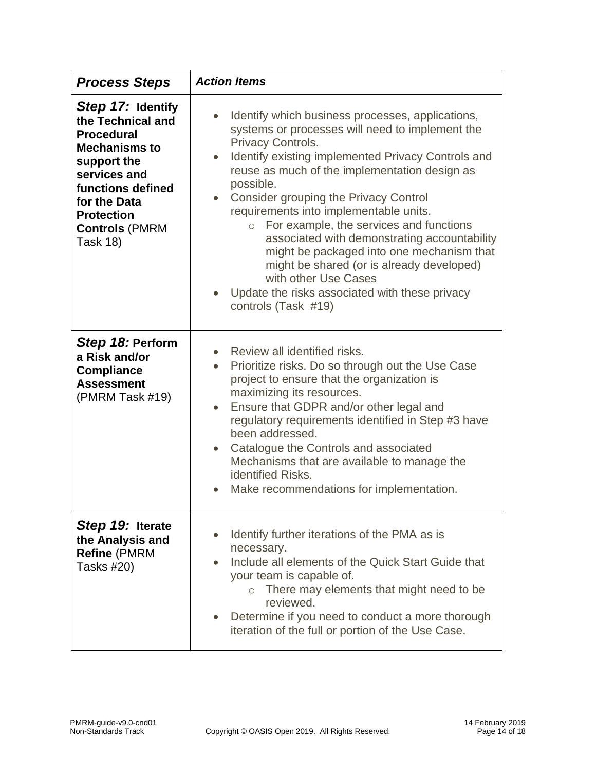| <b>Process Steps</b>                                                                                                                                                                                                     | <b>Action Items</b>                                                                                                                                                                                                                                                                                                                                                                                                                                                                                                                                                                                                                                                     |
|--------------------------------------------------------------------------------------------------------------------------------------------------------------------------------------------------------------------------|-------------------------------------------------------------------------------------------------------------------------------------------------------------------------------------------------------------------------------------------------------------------------------------------------------------------------------------------------------------------------------------------------------------------------------------------------------------------------------------------------------------------------------------------------------------------------------------------------------------------------------------------------------------------------|
| Step 17: Identify<br>the Technical and<br><b>Procedural</b><br><b>Mechanisms to</b><br>support the<br>services and<br>functions defined<br>for the Data<br><b>Protection</b><br><b>Controls (PMRM</b><br><b>Task 18)</b> | Identify which business processes, applications,<br>$\bullet$<br>systems or processes will need to implement the<br>Privacy Controls.<br>Identify existing implemented Privacy Controls and<br>$\bullet$<br>reuse as much of the implementation design as<br>possible.<br>Consider grouping the Privacy Control<br>$\bullet$<br>requirements into implementable units.<br>For example, the services and functions<br>$\circ$<br>associated with demonstrating accountability<br>might be packaged into one mechanism that<br>might be shared (or is already developed)<br>with other Use Cases<br>Update the risks associated with these privacy<br>controls (Task #19) |
| Step 18: Perform<br>a Risk and/or<br><b>Compliance</b><br><b>Assessment</b><br>(PMRM Task #19)                                                                                                                           | Review all identified risks.<br>$\bullet$<br>Prioritize risks. Do so through out the Use Case<br>$\bullet$<br>project to ensure that the organization is<br>maximizing its resources.<br>Ensure that GDPR and/or other legal and<br>$\bullet$<br>regulatory requirements identified in Step #3 have<br>been addressed.<br>Catalogue the Controls and associated<br>$\bullet$<br>Mechanisms that are available to manage the<br>identified Risks.<br>Make recommendations for implementation.                                                                                                                                                                            |
| Step 19: Iterate<br>the Analysis and<br>Refine (PMRM<br><b>Tasks #20)</b>                                                                                                                                                | Identify further iterations of the PMA as is<br>necessary.<br>Include all elements of the Quick Start Guide that<br>$\bullet$<br>your team is capable of.<br>o There may elements that might need to be<br>reviewed.<br>Determine if you need to conduct a more thorough<br>iteration of the full or portion of the Use Case.                                                                                                                                                                                                                                                                                                                                           |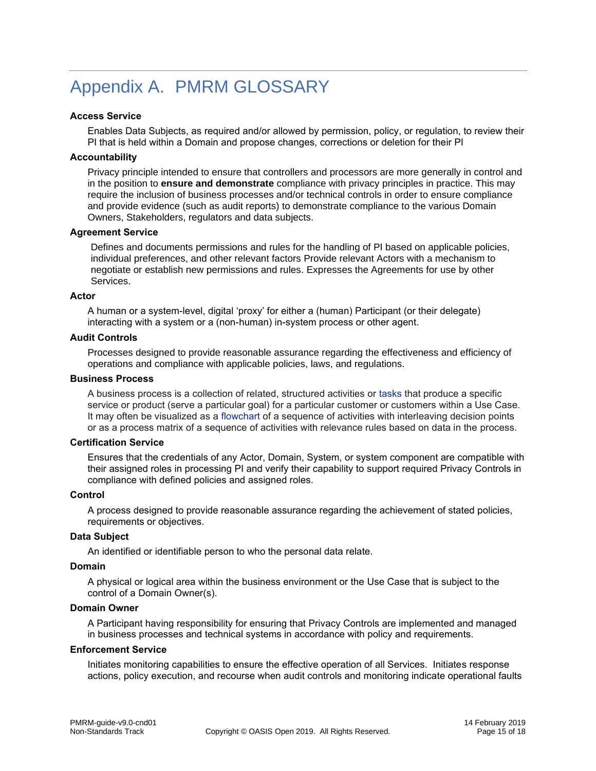# <span id="page-14-0"></span>Appendix A. PMRM GLOSSARY

#### **Access Service**

Enables Data Subjects, as required and/or allowed by permission, policy, or regulation, to review their PI that is held within a Domain and propose changes, corrections or deletion for their PI

#### **Accountability**

Privacy principle intended to ensure that controllers and processors are more generally in control and in the position to **ensure and demonstrate** compliance with privacy principles in practice. This may require the inclusion of business processes and/or technical controls in order to ensure compliance and provide evidence (such as audit reports) to demonstrate compliance to the various Domain Owners, Stakeholders, regulators and data subjects.

#### **Agreement Service**

Defines and documents permissions and rules for the handling of PI based on applicable policies, individual preferences, and other relevant factors Provide relevant Actors with a mechanism to negotiate or establish new permissions and rules. Expresses the Agreements for use by other Services.

#### **Actor**

A human or a system-level, digital 'proxy' for either a (human) Participant (or their delegate) interacting with a system or a (non-human) in-system process or other agent.

#### **Audit Controls**

Processes designed to provide reasonable assurance regarding the effectiveness and efficiency of operations and compliance with applicable policies, laws, and regulations.

#### **Business Process**

A business process is a collection of related, structured activities or [tasks](https://en.wikipedia.org/wiki/Task_(project_management)) that produce a specific service or product (serve a particular goal) for a particular customer or customers within a Use Case. It may often be visualized as a [flowchart](https://en.wikipedia.org/wiki/Flowchart) of a sequence of activities with interleaving decision points or as a process matrix of a sequence of activities with relevance rules based on data in the process.

#### **Certification Service**

Ensures that the credentials of any Actor, Domain, System, or system component are compatible with their assigned roles in processing PI and verify their capability to support required Privacy Controls in compliance with defined policies and assigned roles.

#### **Control**

A process designed to provide reasonable assurance regarding the achievement of stated policies, requirements or objectives.

#### **Data Subject**

An identified or identifiable person to who the personal data relate.

#### **Domain**

A physical or logical area within the business environment or the Use Case that is subject to the control of a Domain Owner(s).

#### **Domain Owner**

A Participant having responsibility for ensuring that Privacy Controls are implemented and managed in business processes and technical systems in accordance with policy and requirements.

#### **Enforcement Service**

Initiates monitoring capabilities to ensure the effective operation of all Services. Initiates response actions, policy execution, and recourse when audit controls and monitoring indicate operational faults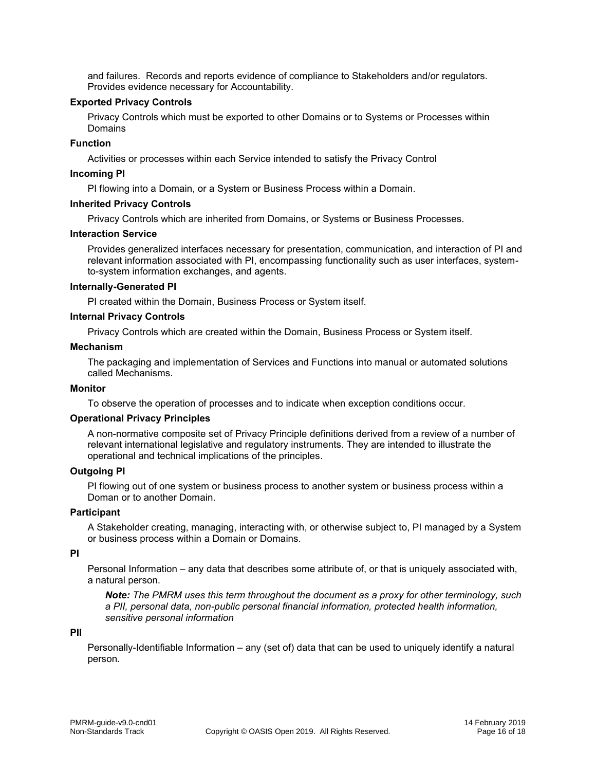and failures. Records and reports evidence of compliance to Stakeholders and/or regulators. Provides evidence necessary for Accountability.

#### **Exported Privacy Controls**

Privacy Controls which must be exported to other Domains or to Systems or Processes within Domains

#### **Function**

Activities or processes within each Service intended to satisfy the Privacy Control

#### **Incoming PI**

PI flowing into a Domain, or a System or Business Process within a Domain.

#### **Inherited Privacy Controls**

Privacy Controls which are inherited from Domains, or Systems or Business Processes.

#### **Interaction Service**

Provides generalized interfaces necessary for presentation, communication, and interaction of PI and relevant information associated with PI, encompassing functionality such as user interfaces, systemto-system information exchanges, and agents.

#### **Internally-Generated PI**

PI created within the Domain, Business Process or System itself.

#### **Internal Privacy Controls**

Privacy Controls which are created within the Domain, Business Process or System itself.

#### **Mechanism**

The packaging and implementation of Services and Functions into manual or automated solutions called Mechanisms.

#### **Monitor**

To observe the operation of processes and to indicate when exception conditions occur.

#### **Operational Privacy Principles**

A non-normative composite set of Privacy Principle definitions derived from a review of a number of relevant international legislative and regulatory instruments. They are intended to illustrate the operational and technical implications of the principles.

#### **Outgoing PI**

PI flowing out of one system or business process to another system or business process within a Doman or to another Domain.

#### **Participant**

A Stakeholder creating, managing, interacting with, or otherwise subject to, PI managed by a System or business process within a Domain or Domains.

#### **PI**

Personal Information – any data that describes some attribute of, or that is uniquely associated with, a natural person.

*Note: The PMRM uses this term throughout the document as a proxy for other terminology, such a PII, personal data, non-public personal financial information, protected health information, sensitive personal information*

#### **PII**

Personally-Identifiable Information – any (set of) data that can be used to uniquely identify a natural person.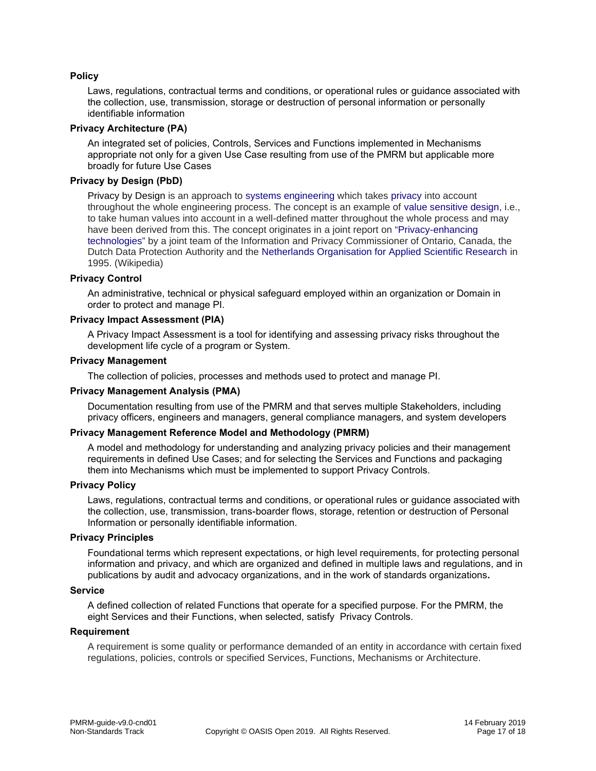#### **Policy**

Laws, regulations, contractual terms and conditions, or operational rules or guidance associated with the collection, use, transmission, storage or destruction of personal information or personally identifiable information

#### **Privacy Architecture (PA)**

An integrated set of policies, Controls, Services and Functions implemented in Mechanisms appropriate not only for a given Use Case resulting from use of the PMRM but applicable more broadly for future Use Cases

#### **Privacy by Design (PbD)**

Privacy by Design is an approach to [systems engineering](https://en.wikipedia.org/wiki/Systems_engineering) which takes [privacy](https://en.wikipedia.org/wiki/Privacy) into account throughout the whole engineering process. The concept is an example of [value sensitive design,](https://en.wikipedia.org/wiki/Value_sensitive_design) i.e., to take human values into account in a well-defined matter throughout the whole process and may have been derived from this. The concept originates in a joint report on "[Privacy-enhancing](https://en.wikipedia.org/wiki/Privacy-enhancing_technologies)  [technologies](https://en.wikipedia.org/wiki/Privacy-enhancing_technologies)" by a joint team of the Information and Privacy Commissioner of Ontario, Canada, the Dutch Data Protection Authority and the [Netherlands Organisation for Applied Scientific Research](https://en.wikipedia.org/wiki/Netherlands_Organisation_for_Applied_Scientific_Research) in 1995. (Wikipedia)

#### **Privacy Control**

An administrative, technical or physical safeguard employed within an organization or Domain in order to protect and manage PI.

#### **Privacy Impact Assessment (PIA)**

A Privacy Impact Assessment is a tool for identifying and assessing privacy risks throughout the development life cycle of a program or System.

#### **Privacy Management**

The collection of policies, processes and methods used to protect and manage PI.

#### **Privacy Management Analysis (PMA)**

Documentation resulting from use of the PMRM and that serves multiple Stakeholders, including privacy officers, engineers and managers, general compliance managers, and system developers

#### **Privacy Management Reference Model and Methodology (PMRM)**

A model and methodology for understanding and analyzing privacy policies and their management requirements in defined Use Cases; and for selecting the Services and Functions and packaging them into Mechanisms which must be implemented to support Privacy Controls.

#### **Privacy Policy**

Laws, regulations, contractual terms and conditions, or operational rules or guidance associated with the collection, use, transmission, trans-boarder flows, storage, retention or destruction of Personal Information or personally identifiable information.

#### **Privacy Principles**

Foundational terms which represent expectations, or high level requirements, for protecting personal information and privacy, and which are organized and defined in multiple laws and regulations, and in publications by audit and advocacy organizations, and in the work of standards organizations**.**

#### **Service**

A defined collection of related Functions that operate for a specified purpose. For the PMRM, the eight Services and their Functions, when selected, satisfy Privacy Controls.

#### **Requirement**

A requirement is some quality or performance demanded of an entity in accordance with certain fixed regulations, policies, controls or specified Services, Functions, Mechanisms or Architecture.